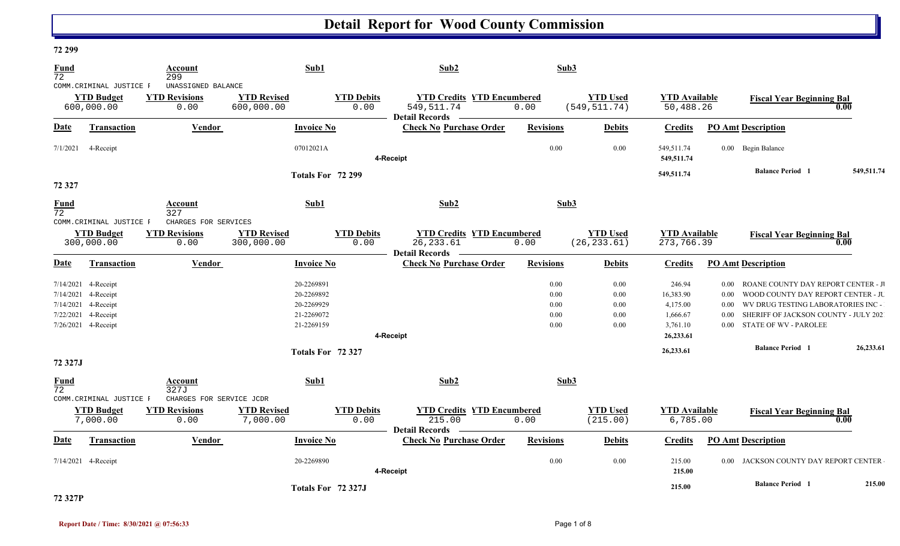### **72 299**

| Fund                    |                                 | Account                      | Sub1                             |                           | Sub2                                                                 |                  | Sub3                            |                                    |          |                                       |            |
|-------------------------|---------------------------------|------------------------------|----------------------------------|---------------------------|----------------------------------------------------------------------|------------------|---------------------------------|------------------------------------|----------|---------------------------------------|------------|
| $\overline{72}$         | COMM. CRIMINAL JUSTICE F        | 299<br>UNASSIGNED BALANCE    |                                  |                           |                                                                      |                  |                                 |                                    |          |                                       |            |
|                         | <b>YTD Budget</b>               | <b>YTD Revisions</b>         | <b>YTD Revised</b>               | <b>YTD Debits</b>         | <b>YTD Credits YTD Encumbered</b>                                    |                  | <b>YTD Used</b>                 | <b>YTD</b> Available               |          | <b>Fiscal Year Beginning Bal</b>      |            |
|                         | 600,000.00                      | 0.00                         | 600,000.00                       | 0.00                      | 549, 511.74<br><b>Detail Records</b>                                 | 0.00             | (549, 511.74)                   | 50,488.26                          |          |                                       | 0.00       |
| Date                    | Transaction                     | <b>Vendor</b>                | <b>Invoice No</b>                |                           | <b>Check No Purchase Order</b>                                       | <b>Revisions</b> | <b>Debits</b>                   | <b>Credits</b>                     |          | <b>PO Amt Description</b>             |            |
| 7/1/2021                | 4-Receipt                       |                              | 07012021A                        |                           | 4-Receipt                                                            | 0.00             | 0.00                            | 549,511.74<br>549,511.74           |          | 0.00 Begin Balance                    |            |
|                         |                                 |                              | Totals For 72 299                |                           |                                                                      |                  |                                 | 549,511.74                         |          | <b>Balance Period 1</b>               | 549,511.74 |
| 72 327                  |                                 |                              |                                  |                           |                                                                      |                  |                                 |                                    |          |                                       |            |
| Fund<br>$\overline{72}$ |                                 | Account<br>327               | Sub1                             |                           | Sub2                                                                 |                  | Sub3                            |                                    |          |                                       |            |
|                         | COMM. CRIMINAL JUSTICE F        | CHARGES FOR SERVICES         |                                  |                           |                                                                      |                  |                                 |                                    |          |                                       |            |
|                         | <b>YTD Budget</b><br>300,000.00 | <b>YTD Revisions</b><br>0.00 | <b>YTD Revised</b><br>300,000.00 | <b>YTD Debits</b><br>0.00 | <b>YTD Credits YTD Encumbered</b><br>26, 233.61                      | 0.00             | <b>YTD Used</b><br>(26, 233.61) | <b>YTD Available</b><br>273,766.39 |          | <b>Fiscal Year Beginning Bal</b>      | 0.00       |
|                         |                                 |                              |                                  |                           | <b>Detail Records</b>                                                |                  |                                 |                                    |          |                                       |            |
| Date                    | Transaction                     | Vendor                       | <b>Invoice No</b>                |                           | <b>Check No Purchase Order</b>                                       | <b>Revisions</b> | <b>Debits</b>                   | <b>Credits</b>                     |          | <b>PO Amt Description</b>             |            |
| 7/14/2021               | 4-Receipt                       |                              | 20-2269891                       |                           |                                                                      | 0.00             | 0.00                            | 246.94                             | $0.00\,$ | ROANE COUNTY DAY REPORT CENTER - J    |            |
| 7/14/2021               | 4-Receipt                       |                              | 20-2269892                       |                           |                                                                      | 0.00             | 0.00                            | 16,383.90                          | 0.00     | WOOD COUNTY DAY REPORT CENTER - JU    |            |
| 7/14/2021               | 4-Receipt                       |                              | 20-2269929                       |                           |                                                                      | 0.00             | 0.00                            | 4,175.00                           | $0.00\,$ | WV DRUG TESTING LABORATORIES INC-     |            |
| 7/22/2021               | 4-Receipt                       |                              | 21-2269072                       |                           |                                                                      | 0.00             | 0.00                            | 1,666.67                           | $0.00\,$ | SHERIFF OF JACKSON COUNTY - JULY 202  |            |
|                         | 7/26/2021 4-Receipt             |                              | 21-2269159                       |                           |                                                                      | 0.00             | 0.00                            | 3,761.10                           | $0.00\,$ | <b>STATE OF WV - PAROLEE</b>          |            |
|                         |                                 |                              |                                  |                           | 4-Receipt                                                            |                  |                                 | 26,233.61                          |          |                                       |            |
|                         |                                 |                              | Totals For 72 327                |                           |                                                                      |                  |                                 | 26,233.61                          |          | <b>Balance Period 1</b>               | 26,233.61  |
| 72 327J                 |                                 |                              |                                  |                           |                                                                      |                  |                                 |                                    |          |                                       |            |
| Fund<br>$\overline{72}$ |                                 | Account<br>327J              | Sub1                             |                           | Sub2                                                                 |                  | Sub3                            |                                    |          |                                       |            |
|                         | COMM.CRIMINAL JUSTICE F         | CHARGES FOR SERVICE JCDR     |                                  |                           |                                                                      |                  |                                 |                                    |          |                                       |            |
|                         | <b>YTD Budget</b><br>7,000.00   | <b>YTD Revisions</b><br>0.00 | <b>YTD Revised</b><br>7,000.00   | <b>YTD Debits</b><br>0.00 | <b>YTD Credits YTD Encumbered</b><br>215.00<br><b>Detail Records</b> | 0.00             | <b>YTD Used</b><br>(215.00)     | <b>YTD Available</b><br>6,785.00   |          | <b>Fiscal Year Beginning Bal</b>      | 0.00       |
| Date                    | Transaction                     | <b>Vendor</b>                | <b>Invoice No</b>                |                           | <b>Check No Purchase Order</b>                                       | <b>Revisions</b> | <b>Debits</b>                   | <b>Credits</b>                     |          | <b>PO Amt Description</b>             |            |
|                         | 7/14/2021 4-Receipt             |                              | 20-2269890                       |                           | 4-Receipt                                                            | 0.00             | 0.00                            | 215.00<br>215.00                   |          | 0.00 JACKSON COUNTY DAY REPORT CENTER |            |
|                         |                                 |                              |                                  | Totals For 72 327J        |                                                                      |                  |                                 | 215.00                             |          | <b>Balance Period 1</b>               | 215.00     |

### **72 327P**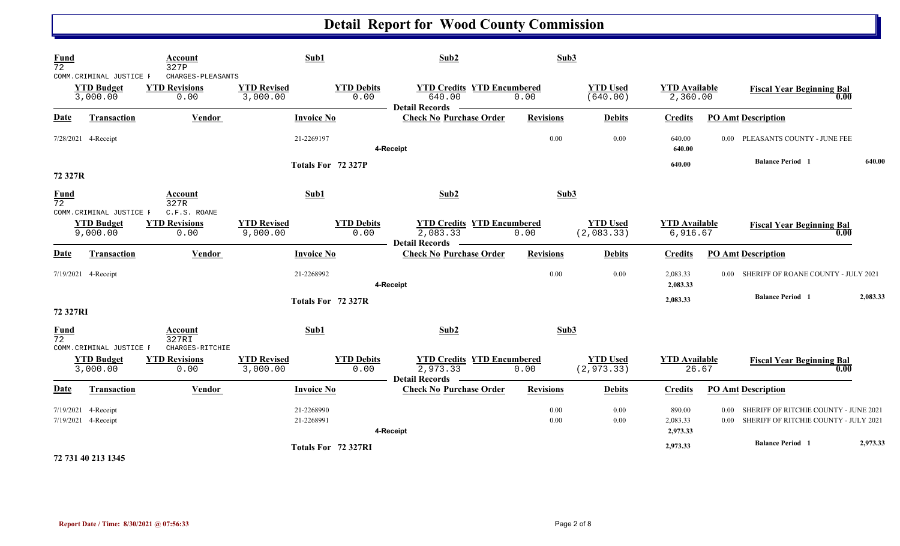| $\frac{Fund}{72}$              |                                                           | Account<br>327P                                   | Sub1                           |                           | Sub2                                                                   | Sub3             |                                |                                  |                                                                                                                 |          |
|--------------------------------|-----------------------------------------------------------|---------------------------------------------------|--------------------------------|---------------------------|------------------------------------------------------------------------|------------------|--------------------------------|----------------------------------|-----------------------------------------------------------------------------------------------------------------|----------|
|                                | COMM. CRIMINAL JUSTICE F<br><b>YTD Budget</b><br>3,000.00 | CHARGES-PLEASANTS<br><b>YTD Revisions</b><br>0.00 | <b>YTD Revised</b><br>3,000.00 | <b>YTD Debits</b><br>0.00 | <b>YTD Credits YTD Encumbered</b><br>640.00<br><b>Detail Records</b>   | 0.00             | <b>YTD Used</b><br>(640.00)    | <b>YTD</b> Available<br>2,360.00 | <b>Fiscal Year Beginning Bal</b>                                                                                | 0.00     |
| <b>Date</b>                    | <b>Transaction</b>                                        | Vendor                                            | <b>Invoice No</b>              |                           | <b>Check No Purchase Order</b>                                         | <b>Revisions</b> | <b>Debits</b>                  | <b>Credits</b>                   | <b>PO Amt Description</b>                                                                                       |          |
|                                | 7/28/2021 4-Receipt                                       |                                                   | 21-2269197                     |                           | 4-Receipt                                                              | 0.00             | 0.00                           | 640.00<br>640.00                 | 0.00 PLEASANTS COUNTY - JUNE FEE                                                                                |          |
| 72 327R                        |                                                           |                                                   | Totals For 72 327P             |                           |                                                                        |                  |                                | 640.00                           | <b>Balance Period 1</b>                                                                                         | 640.00   |
| <b>Fund</b><br>$\overline{72}$ |                                                           | <b>Account</b><br>327R                            | Sub1                           |                           | Sub2                                                                   | Sub3             |                                |                                  |                                                                                                                 |          |
|                                | COMM.CRIMINAL JUSTICE F<br><b>YTD Budget</b><br>9,000.00  | C.F.S. ROANE<br><b>YTD Revisions</b><br>0.00      | <b>YTD Revised</b><br>9,000.00 | <b>YTD Debits</b><br>0.00 | <b>YTD Credits YTD Encumbered</b><br>2,083.33<br><b>Detail Records</b> | 0.00             | <b>YTD Used</b><br>(2,083.33)  | <b>YTD Available</b><br>6,916.67 | <b>Fiscal Year Beginning Bal</b>                                                                                | 0.00     |
| <b>Date</b>                    | Transaction                                               | Vendor                                            | <b>Invoice No</b>              |                           | <b>Check No Purchase Order</b>                                         | <b>Revisions</b> | <b>Debits</b>                  | <b>Credits</b>                   | <b>PO Amt Description</b>                                                                                       |          |
|                                | 7/19/2021 4-Receipt                                       |                                                   | 21-2268992                     |                           | 4-Receipt                                                              | 0.00             | 0.00                           | 2,083.33<br>2,083.33             | SHERIFF OF ROANE COUNTY - JULY 2021<br>$0.00 -$                                                                 |          |
| 72 327RI                       |                                                           |                                                   | Totals For 72 327R             |                           |                                                                        |                  |                                | 2,083.33                         | <b>Balance Period 1</b>                                                                                         | 2,083.33 |
| <b>Fund</b><br>$\overline{72}$ | COMM.CRIMINAL JUSTICE F                                   | <b>Account</b><br>327RI<br>CHARGES-RITCHIE        | Sub1                           |                           | Sub2                                                                   | Sub3             |                                |                                  |                                                                                                                 |          |
|                                | <b>YTD Budget</b><br>3,000.00                             | <b>YTD Revisions</b><br>0.00                      | <b>YTD Revised</b><br>3,000.00 | <b>YTD Debits</b><br>0.00 | <b>YTD Credits YTD Encumbered</b><br>2,973.33<br>Detail Records —      | 0.00             | <b>YTD Used</b><br>(2, 973.33) | <b>YTD Available</b><br>26.67    | <b>Fiscal Year Beginning Bal</b>                                                                                | 0.00     |
| <b>Date</b>                    | <b>Transaction</b>                                        | <b>Vendor</b>                                     | <b>Invoice No</b>              |                           | <b>Check No Purchase Order</b>                                         | <b>Revisions</b> | <b>Debits</b>                  | <b>Credits</b>                   | <b>PO Amt Description</b>                                                                                       |          |
|                                | 7/19/2021 4-Receipt<br>7/19/2021 4-Receipt                |                                                   | 21-2268990<br>21-2268991       |                           | 4-Receipt                                                              | 0.00<br>0.00     | 0.00<br>0.00                   | 890.00<br>2,083.33<br>2,973.33   | SHERIFF OF RITCHIE COUNTY - JUNE 2021<br>0.00 <sub>1</sub><br>SHERIFF OF RITCHIE COUNTY - JULY 2021<br>$0.00\,$ |          |
|                                |                                                           |                                                   | Totals For 72 327RI            |                           |                                                                        |                  |                                | 2,973.33                         | <b>Balance Period 1</b>                                                                                         | 2,973.33 |

**72 731 40 213 1345**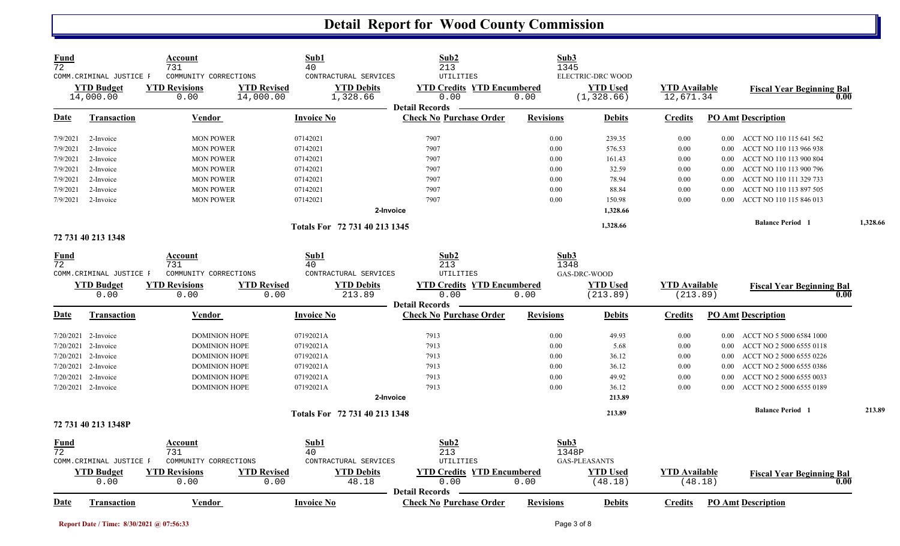| Fund<br>72  | COMM.CRIMINAL JUSTICE F<br><b>YTD Budget</b> | Account<br>731<br>COMMUNITY CORRECTIONS<br><b>YTD Revisions</b> | <b>YTD Revised</b>         | Sub1<br>40<br>CONTRACTURAL SERVICES<br><b>YTD Debits</b> | Sub2<br>213<br><b>UTILITIES</b><br><b>YTD Credits YTD Encumbered</b> | Sub3             | 1345<br>ELECTRIC-DRC WOOD<br><b>YTD Used</b> | <b>YTD Available</b>             |          | <b>Fiscal Year Beginning Bal</b>         |          |
|-------------|----------------------------------------------|-----------------------------------------------------------------|----------------------------|----------------------------------------------------------|----------------------------------------------------------------------|------------------|----------------------------------------------|----------------------------------|----------|------------------------------------------|----------|
|             | 14,000.00                                    | 0.00                                                            | 14,000.00                  | 1,328.66                                                 | 0.00                                                                 | 0.00             | (1, 328.66)                                  | 12,671.34                        |          | 0.00                                     |          |
| Date        | <b>Transaction</b>                           | Vendor                                                          |                            | <b>Invoice No</b>                                        | <b>Detail Records</b><br><b>Check No Purchase Order</b>              | <b>Revisions</b> | <b>Debits</b>                                | <b>Credits</b>                   |          | <b>PO Amt Description</b>                |          |
| 7/9/2021    | 2-Invoice                                    | <b>MON POWER</b>                                                |                            | 07142021                                                 | 7907                                                                 | 0.00             | 239.35                                       | 0.00                             | $0.00\,$ | ACCT NO 110 115 641 562                  |          |
| 7/9/2021    | 2-Invoice                                    | <b>MON POWER</b>                                                |                            | 07142021                                                 | 7907                                                                 | 0.00             | 576.53                                       | 0.00                             | 0.00     | ACCT NO 110 113 966 938                  |          |
| 7/9/2021    | 2-Invoice                                    | <b>MON POWER</b>                                                |                            | 07142021                                                 | 7907                                                                 | 0.00             | 161.43                                       | 0.00                             | 0.00     | ACCT NO 110 113 900 804                  |          |
| 7/9/2021    | 2-Invoice                                    | <b>MON POWER</b>                                                |                            | 07142021                                                 | 7907                                                                 | 0.00             | 32.59                                        | 0.00                             | 0.00     | ACCT NO 110 113 900 796                  |          |
| 7/9/2021    | 2-Invoice                                    | <b>MON POWER</b>                                                |                            | 07142021                                                 | 7907                                                                 | 0.00             | 78.94                                        | 0.00                             | 0.00     | ACCT NO 110 111 329 733                  |          |
| 7/9/2021    | 2-Invoice                                    | <b>MON POWER</b>                                                |                            | 07142021                                                 | 7907                                                                 | 0.00             | 88.84                                        | 0.00                             | 0.00     | ACCT NO 110 113 897 505                  |          |
| 7/9/2021    | 2-Invoice                                    | <b>MON POWER</b>                                                |                            | 07142021                                                 | 7907                                                                 | 0.00             | 150.98                                       | 0.00                             | 0.00     | ACCT NO 110 115 846 013                  |          |
|             |                                              |                                                                 |                            | 2-Invoice                                                |                                                                      |                  | 1,328.66                                     |                                  |          |                                          |          |
|             |                                              |                                                                 |                            | Totals For 72 731 40 213 1345                            |                                                                      |                  | 1,328.66                                     |                                  |          | <b>Balance Period 1</b>                  | 1,328.66 |
|             | 72 731 40 213 1348                           |                                                                 |                            |                                                          |                                                                      |                  |                                              |                                  |          |                                          |          |
| Fund        |                                              | Account                                                         |                            | Sub1                                                     | Sub <sub>2</sub>                                                     |                  | Sub3                                         |                                  |          |                                          |          |
| 72          |                                              | 731                                                             |                            | 40                                                       | 213                                                                  |                  | 1348                                         |                                  |          |                                          |          |
|             | COMM. CRIMINAL JUSTICE F                     | COMMUNITY CORRECTIONS                                           |                            | CONTRACTURAL SERVICES                                    | UTILITIES                                                            |                  | GAS-DRC-WOOD                                 |                                  |          |                                          |          |
|             | <b>YTD Budget</b><br>0.00                    | <b>YTD Revisions</b><br>0.00                                    | <b>YTD Revised</b><br>0.00 | <b>YTD Debits</b><br>213.89                              | <b>YTD Credits YTD Encumbered</b><br>0.00                            | 0.00             | <b>YTD Used</b><br>(213.89)                  | <b>YTD Available</b><br>(213.89) |          | <b>Fiscal Year Beginning Bal</b><br>0.00 |          |
|             |                                              |                                                                 |                            |                                                          | <b>Detail Records</b>                                                |                  |                                              |                                  |          |                                          |          |
| Date        | <b>Transaction</b>                           | Vendor                                                          |                            | <b>Invoice No</b>                                        | <b>Check No Purchase Order</b>                                       | <b>Revisions</b> | <b>Debits</b>                                | Credits                          |          | <b>PO Amt Description</b>                |          |
|             | $7/20/2021$ 2-Invoice                        | <b>DOMINION HOPE</b>                                            |                            | 07192021A                                                | 7913                                                                 | 0.00             | 49.93                                        | 0.00                             | 0.00     | ACCT NO 5 5000 6584 1000                 |          |
| 7/20/2021   | 2-Invoice                                    | <b>DOMINION HOPE</b>                                            |                            | 07192021A                                                | 7913                                                                 | 0.00             | 5.68                                         | 0.00                             | 0.00     | ACCT NO 2 5000 6555 0118                 |          |
| 7/20/2021   | 2-Invoice                                    | <b>DOMINION HOPE</b>                                            |                            | 07192021A                                                | 7913                                                                 | 0.00             | 36.12                                        | 0.00                             | 0.00     | ACCT NO 2 5000 6555 0226                 |          |
| 7/20/2021   | 2-Invoice                                    | <b>DOMINION HOPE</b>                                            |                            | 07192021A                                                | 7913                                                                 | 0.00             | 36.12                                        | 0.00                             | 0.00     | ACCT NO 2 5000 6555 0386                 |          |
| 7/20/2021   | 2-Invoice                                    | <b>DOMINION HOPE</b>                                            |                            | 07192021A                                                | 7913                                                                 | 0.00             | 49.92                                        | 0.00                             | 0.00     | ACCT NO 2 5000 6555 0033                 |          |
|             | 7/20/2021 2-Invoice                          | <b>DOMINION HOPE</b>                                            |                            | 07192021A                                                | 7913                                                                 | 0.00             | 36.12                                        | 0.00                             | 0.00     | ACCT NO 2 5000 6555 0189                 |          |
|             |                                              |                                                                 |                            | 2-Invoice                                                |                                                                      |                  | 213.89                                       |                                  |          |                                          |          |
|             |                                              |                                                                 |                            | Totals For 72 731 40 213 1348                            |                                                                      |                  | 213.89                                       |                                  |          | <b>Balance Period</b> 1                  | 213.89   |
|             | 72 731 40 213 1348P                          |                                                                 |                            |                                                          |                                                                      |                  |                                              |                                  |          |                                          |          |
| Fund        |                                              | Account                                                         |                            | Sub1                                                     | Sub2                                                                 |                  | Sub3                                         |                                  |          |                                          |          |
| 72          |                                              | 731                                                             |                            | 40                                                       | 213                                                                  |                  | 1348P                                        |                                  |          |                                          |          |
|             | COMM. CRIMINAL JUSTICE F                     | COMMUNITY CORRECTIONS                                           |                            | CONTRACTURAL SERVICES                                    | UTILITIES                                                            |                  | <b>GAS-PLEASANTS</b>                         |                                  |          |                                          |          |
|             | <b>YTD Budget</b><br>0.00                    | <b>YTD Revisions</b><br>0.00                                    | <b>YTD Revised</b><br>0.00 | <b>YTD Debits</b><br>48.18                               | <b>YTD Credits YTD Encumbered</b><br>0.00                            | 0.00             | <b>YTD Used</b><br>(48.18)                   | <b>YTD</b> Available<br>(48.18)  |          | <b>Fiscal Year Beginning Bal</b><br>0.00 |          |
|             |                                              |                                                                 |                            |                                                          | <b>Detail Records</b>                                                |                  |                                              |                                  |          |                                          |          |
| <b>Date</b> |                                              |                                                                 |                            |                                                          |                                                                      |                  |                                              |                                  |          |                                          |          |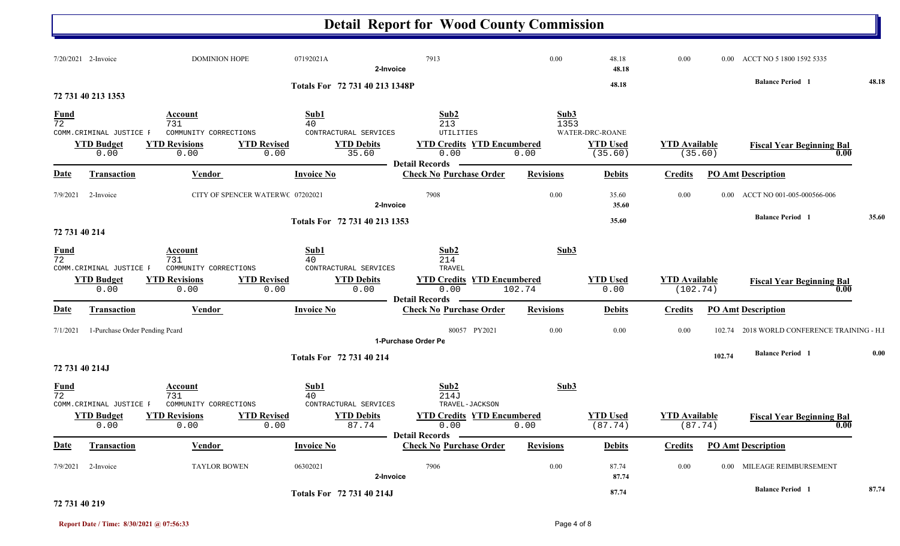#### **Detail Report for Wood County Commission** 7/20/2021 2-Invoice 2-DOMINION HOPE 07192021A 7913 7913 0.00 48.18 0.00 0.00 ACCT NO 5 1800 1592 5335 **2-Invoice 48.18 48.18 Balance Period 48.18 <sup>1</sup> Totals For 72 731 40 213 1348P72 731 40 213 1353**72 731 $1^{1}$  and  $40^{1}$  and  $213$  and  $1353$ **Fund Account Sub1 Sub2 Sub3** COMM.CRIMINAL JUSTICE F COMMUNITY CORRECTIONS CONTRACTURAL SERVICES UTILITIES 0.00 0.000 0.00 35.60 0.00 0.00 (35.60) (35.60) **YTD Budget YTD Revisions YTD Revised YTD Debits YTD Credits YTD Encumbered<u>TD Used</u> <b>YTD Available Fiscal Year Beginning Bal 0.00** (35.60) **1.00** WATER-DRC-ROANE**Date Vendor Invoice NoTransaction Purchase Order Revisions Debits Credits PO Amt Description Detail RecordsConstruction Vendor Check Invoice No** 7/9/2021 2-Invoice 07202021 0.00 CITY OF SPENCER WATERW O 7908 35.60 0.00 0.00 ACCT NO 001-005-000566-006 **2-Invoice 35.60 35.60 Balance Period 35.60 <sup>1</sup> Totals For 72 731 40 213 135372 731 40 214** 72 731 $1 \hspace{3.1em} 40 \hspace{3.1em} 214$ **Fund Account Sub1 Sub2 Sub3** COMM.CRIMINAL JUSTICE F COMMUNITY CORRECTIONS CONTRACTURAL SERVICES TRAVEL 0.00 0.00 $0.00$  0.00  $0.00$  0.00  $102.74$  0.00  $102.74$  0.00  $(102.74)$ **YTD Budget YTD Revisions YTD Revised YTD Debits YTD Credits YTD Encumbered YTD Used YTD Available Fiscal Year Beginning Bal 0.00Date Vendor Invoice NoTransaction Purchase Order Revisions Debits Credits PO Amt Description Detail Records**Vendor **Invoice No** 7/1/20211 1-Purchase Order Pending Pcard 100 100 102.74 2018 WORLD CONFERENCE TRAINING - H.I **1-Purchase Order Pe102.74 Balance Period 0.00 <sup>1</sup> Totals For 72 731 40 214 72 731 40 214J** 72 731 $1$  and  $214J$ **Fund Account Sub1 Sub2 Sub3** COMM.CRIMINAL JUSTICE F COMMUNITY CORRECTIONS CONTRACTURAL SERVICES TRAVEL-JACKSON 0.00 0.00 $0 \hspace{1.5mm} 0.00 \hspace{3.5mm} 87.74 \hspace{1.5mm} 0.00 \hspace{1.5mm} (87.74) \hspace{1.5mm} (87.74)$ **YTD Budget YTD Revisions YTD Revised YTD Debits YTD Credits YTD Encumbered<u>WED Used</u> <b>Fiscal Year Beginning Bal Fiscal Year Beginning Bal 1** (87.74) **Fiscal Year Beginning Bal 0.00 Date Vendor Invoice NoTransaction Purchase Order Revisions Debits Credits PO Amt Description Detail Records** Vendor **Invoice No** 7/9/2021 2-Invoice 06302021 0.00 TAYLOR BOWEN 7906 87.74 0.00 0.00 MILEAGE REIMBURSEMENT **2-Invoice 87.74 87.74 Balance Period 87.74 <sup>1</sup> Totals For 72 731 40 214J**

### **72 731 40 219**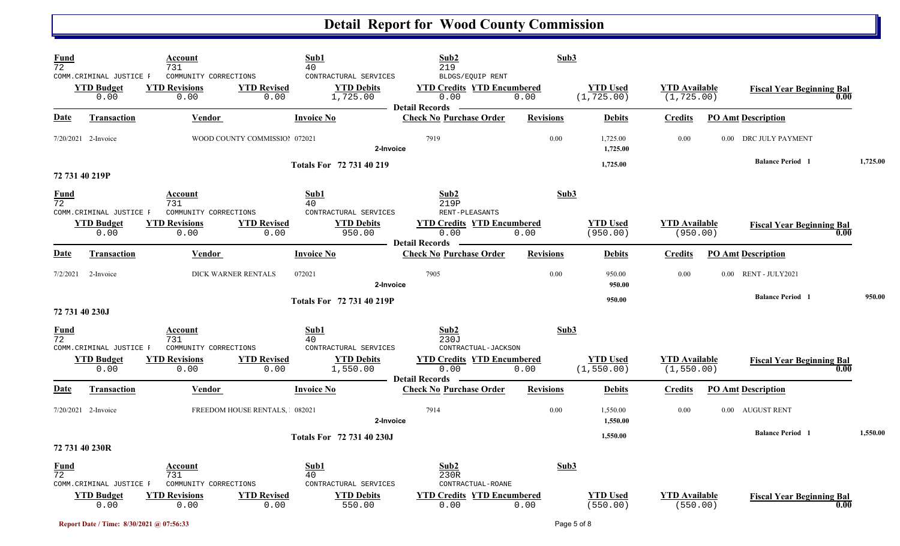| Fund<br>$\overline{72}$ | COMM.CRIMINAL JUSTICE F                               | Account<br>731<br>COMMUNITY CORRECTIONS               | Sub1<br>40                    | CONTRACTURAL SERVICES                                  | Sub2<br>219<br>BLDGS/EQUIP RENT                                  | Sub3             |                                |                                     |      |                                  |      |          |
|-------------------------|-------------------------------------------------------|-------------------------------------------------------|-------------------------------|--------------------------------------------------------|------------------------------------------------------------------|------------------|--------------------------------|-------------------------------------|------|----------------------------------|------|----------|
|                         | <b>YTD Budget</b><br>0.00                             | <b>YTD Revisions</b><br>0.00                          | <b>YTD Revised</b><br>0.00    | <b>YTD Debits</b><br>1,725.00                          | <b>YTD Credits YTD Encumbered</b><br>0.00<br>Detail Records —    | 0.00             | <b>YTD Used</b><br>(1, 725.00) | <b>YTD</b> Available<br>(1, 725.00) |      | <b>Fiscal Year Beginning Bal</b> | 0.00 |          |
| <b>Date</b>             | Transaction                                           | <b>Vendor</b>                                         | <b>Invoice No</b>             |                                                        | <b>Check No Purchase Order</b>                                   | <b>Revisions</b> | <b>Debits</b>                  | <b>Credits</b>                      |      | <b>PO Amt Description</b>        |      |          |
|                         | 7/20/2021 2-Invoice                                   |                                                       | WOOD COUNTY COMMISSIOI 072021 | 2-Invoice                                              | 7919                                                             | 0.00             | 1,725.00<br>1,725.00           | 0.00                                | 0.00 | DRC JULY PAYMENT                 |      |          |
|                         | 72 731 40 219P                                        |                                                       |                               | Totals For 72 731 40 219                               |                                                                  |                  | 1,725.00                       |                                     |      | <b>Balance Period</b> 1          |      | 1,725.00 |
| Fund<br>$\overline{72}$ |                                                       | Account<br>731                                        | Sub1<br>40                    |                                                        | Sub2<br>219P                                                     | Sub3             |                                |                                     |      |                                  |      |          |
|                         | COMM. CRIMINAL JUSTICE F<br><b>YTD Budget</b><br>0.00 | COMMUNITY CORRECTIONS<br><b>YTD Revisions</b><br>0.00 | <b>YTD</b> Revised<br>0.00    | CONTRACTURAL SERVICES<br><b>YTD Debits</b><br>950.00   | RENT-PLEASANTS<br><b>YTD Credits YTD Encumbered</b><br>0.00      | 0.00             | <b>YTD Used</b><br>(950.00)    | <b>YTD</b> Available<br>(950.00)    |      | <b>Fiscal Year Beginning Bal</b> | 0.00 |          |
| Date                    | <b>Transaction</b>                                    | Vendor                                                | <b>Invoice No</b>             |                                                        | <b>Detail Records</b><br><b>Check No Purchase Order</b>          | <b>Revisions</b> | <b>Debits</b>                  | <b>Credits</b>                      |      | <b>PO Amt Description</b>        |      |          |
| 7/2/2021                | 2-Invoice                                             |                                                       | DICK WARNER RENTALS<br>072021 | 2-Invoice                                              | 7905                                                             | 0.00             | 950.00<br>950.00               | 0.00                                |      | 0.00 RENT - JULY2021             |      |          |
|                         | 72 731 40 230J                                        |                                                       |                               | Totals For 72 731 40 219P                              |                                                                  |                  | 950.00                         |                                     |      | <b>Balance Period 1</b>          |      | 950.00   |
| Fund<br>$\overline{72}$ |                                                       | Account<br>731                                        | Sub1<br>40                    |                                                        | Sub2<br>230J                                                     | Sub3             |                                |                                     |      |                                  |      |          |
|                         | COMM. CRIMINAL JUSTICE F<br><b>YTD Budget</b><br>0.00 | COMMUNITY CORRECTIONS<br><b>YTD Revisions</b><br>0.00 | <b>YTD Revised</b><br>0.00    | CONTRACTURAL SERVICES<br><b>YTD Debits</b><br>1,550.00 | CONTRACTUAL-JACKSON<br><b>YTD Credits YTD Encumbered</b><br>0.00 | 0.00             | <b>YTD Used</b><br>(1, 550.00) | <b>YTD</b> Available<br>(1, 550.00) |      | <b>Fiscal Year Beginning Bal</b> | 0.00 |          |
| <u>Date</u>             | <b>Transaction</b>                                    | <b>Vendor</b>                                         | <b>Invoice No</b>             |                                                        | <b>Detail Records</b> —<br><b>Check No Purchase Order</b>        | <b>Revisions</b> | <b>Debits</b>                  | <b>Credits</b>                      |      | <b>PO Amt Description</b>        |      |          |
|                         | $7/20/2021$ 2-Invoice                                 |                                                       | FREEDOM HOUSE RENTALS, 082021 | 2-Invoice                                              | 7914                                                             | 0.00             | 1,550.00<br>1,550.00           | 0.00                                |      | 0.00 AUGUST RENT                 |      |          |
|                         | 72 731 40 230R                                        |                                                       |                               | Totals For 72 731 40 230J                              |                                                                  |                  | 1,550.00                       |                                     |      | <b>Balance Period</b> 1          |      | 1,550.00 |
| Fund<br>$\overline{72}$ | COMM. CRIMINAL JUSTICE F                              | Account<br>731<br>COMMUNITY CORRECTIONS               | Sub1<br>40                    | CONTRACTURAL SERVICES                                  | Sub2<br>230R<br>CONTRACTUAL-ROANE                                | Sub3             |                                |                                     |      |                                  |      |          |
|                         | <b>YTD Budget</b><br>0.00                             | <b>YTD Revisions</b><br>0.00                          | <b>YTD Revised</b><br>0.00    | <b>YTD Debits</b><br>550.00                            | <b>YTD Credits YTD Encumbered</b><br>0.00                        | 0.00             | <b>YTD Used</b><br>(550.00)    | <b>YTD</b> Available<br>(550.00)    |      | <b>Fiscal Year Beginning Bal</b> | 0.00 |          |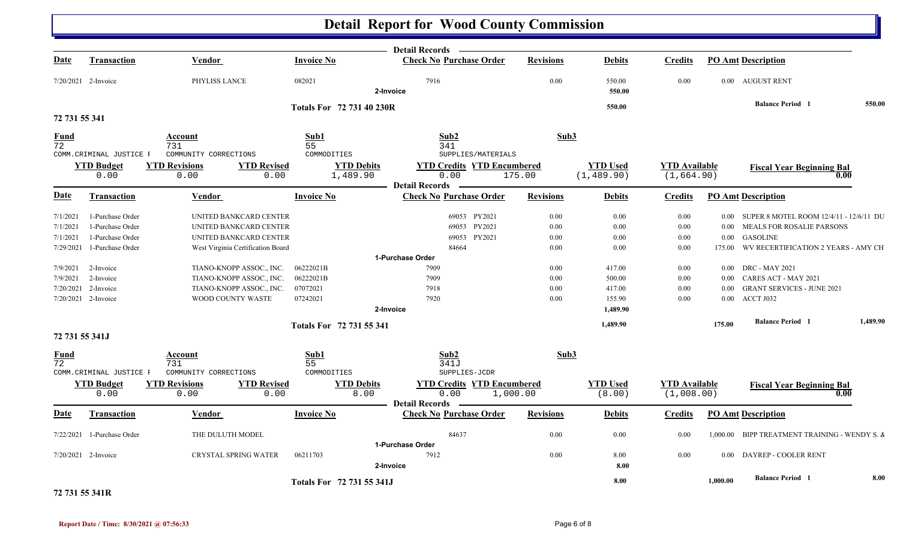|                                |                           |                                         |                            |                                 | <b>Detail Records</b>                                              |                  |                           |                                    |          |                                          |          |
|--------------------------------|---------------------------|-----------------------------------------|----------------------------|---------------------------------|--------------------------------------------------------------------|------------------|---------------------------|------------------------------------|----------|------------------------------------------|----------|
| Date                           | <b>Transaction</b>        | <b>Vendor</b>                           |                            | <b>Invoice No</b>               | <b>Check No Purchase Order</b>                                     | <b>Revisions</b> | <b>Debits</b>             | Credits                            |          | <b>PO Amt Description</b>                |          |
|                                | 7/20/2021 2-Invoice       | PHYLISS LANCE                           |                            | 082021                          | 7916<br>2-Invoice                                                  | 0.00             | 550.00<br>550.00          | 0.00                               |          | 0.00 AUGUST RENT                         |          |
|                                |                           |                                         |                            |                                 |                                                                    |                  | 550.00                    |                                    |          | <b>Balance Period 1</b>                  | 550.00   |
| 72 731 55 341                  |                           |                                         |                            | Totals For 72 731 40 230R       |                                                                    |                  |                           |                                    |          |                                          |          |
| <b>Fund</b><br>$\overline{72}$ | COMM.CRIMINAL JUSTICE F   | Account<br>731<br>COMMUNITY CORRECTIONS |                            | Sub1<br>55<br>COMMODITIES       | Sub2<br>341<br>SUPPLIES/MATERIALS                                  | Sub3             |                           |                                    |          |                                          |          |
|                                | <b>YTD Budget</b>         | <b>YTD Revisions</b>                    | <b>YTD Revised</b>         | <b>YTD Debits</b>               | <b>YTD Credits YTD Encumbered</b>                                  |                  | <b>YTD Used</b>           | <b>YTD</b> Available               |          | <b>Fiscal Year Beginning Bal</b>         |          |
|                                | 0.00                      | 0.00                                    | 0.00                       | 1,489.90                        | 0.00                                                               | 175.00           | (1, 489.90)               | (1, 664.90)                        |          | 0.00                                     |          |
|                                |                           |                                         |                            |                                 | <b>Detail Records</b>                                              |                  |                           |                                    |          |                                          |          |
| Date                           | <b>Transaction</b>        | Vendor                                  |                            | <b>Invoice No</b>               | <b>Check No Purchase Order</b>                                     | <b>Revisions</b> | <b>Debits</b>             | Credits                            |          | <b>PO Amt Description</b>                |          |
| 7/1/2021                       | 1-Purchase Order          | UNITED BANKCARD CENTER                  |                            |                                 | 69053 PY2021                                                       | 0.00             | 0.00                      | 0.00                               | $0.00\,$ | SUPER 8 MOTEL ROOM 12/4/11 - 12/6/11 DU  |          |
| 7/1/2021                       | 1-Purchase Order          | UNITED BANKCARD CENTER                  |                            |                                 | 69053 PY2021                                                       | 0.00             | 0.00                      | 0.00                               | $0.00\,$ | <b>MEALS FOR ROSALIE PARSONS</b>         |          |
| 7/1/2021                       | 1-Purchase Order          | UNITED BANKCARD CENTER                  |                            |                                 | 69053 PY2021                                                       | 0.00             | 0.00                      | 0.00                               | $0.00\,$ | <b>GASOLINE</b>                          |          |
| 7/29/2021                      | 1-Purchase Order          | West Virginia Certification Board       |                            |                                 | 84664                                                              | 0.00             | 0.00                      | 0.00                               | 175.00   | WV RECERTIFICATION 2 YEARS - AMY CH      |          |
|                                |                           |                                         |                            |                                 | 1-Purchase Order                                                   |                  |                           |                                    |          |                                          |          |
| 7/9/2021                       | 2-Invoice                 | TIANO-KNOPP ASSOC., INC.                |                            | 06222021B                       | 7909                                                               | 0.00             | 417.00                    | 0.00                               | $0.00\,$ | <b>DRC - MAY 2021</b>                    |          |
| 7/9/2021                       | 2-Invoice                 | TIANO-KNOPP ASSOC., INC.                |                            | 06222021B                       | 7909                                                               | 0.00             | 500.00                    | 0.00                               | $0.00\,$ | CARES ACT - MAY 2021                     |          |
| 7/20/2021                      | 2-Invoice                 | TIANO-KNOPP ASSOC., INC.                |                            | 07072021                        | 7918                                                               | 0.00             | 417.00                    | 0.00                               | 0.00     | <b>GRANT SERVICES - JUNE 2021</b>        |          |
|                                | $7/20/2021$ 2-Invoice     | <b>WOOD COUNTY WASTE</b>                |                            | 07242021                        | 7920                                                               | 0.00             | 155.90                    | 0.00                               | 0.00     | ACCT J032                                |          |
|                                |                           |                                         |                            |                                 | 2-Invoice                                                          |                  | 1,489.90                  |                                    |          |                                          |          |
|                                |                           |                                         |                            | <b>Totals For 72 731 55 341</b> |                                                                    |                  | 1,489.90                  |                                    | 175.00   | <b>Balance Period 1</b>                  | 1,489.90 |
| 72 731 55 341J                 |                           |                                         |                            |                                 |                                                                    |                  |                           |                                    |          |                                          |          |
| Fund<br>$\overline{72}$        | COMM. CRIMINAL JUSTICE F  | Account<br>731<br>COMMUNITY CORRECTIONS |                            | Sub1<br>55<br>COMMODITIES       | Sub2<br>341J<br>SUPPLIES-JCDR                                      | Sub3             |                           |                                    |          |                                          |          |
|                                | <b>YTD Budget</b><br>0.00 | <b>YTD Revisions</b><br>0.00            | <b>YTD Revised</b><br>0.00 | <b>YTD Debits</b><br>8.00       | <b>YTD Credits YTD Encumbered</b><br>0.00<br><b>Detail Records</b> | 1,000.00         | <b>YTD Used</b><br>(8.00) | <b>YTD Available</b><br>(1,008.00) |          | <b>Fiscal Year Beginning Bal</b><br>0.00 |          |
| Date                           | <b>Transaction</b>        | Vendor                                  |                            | <b>Invoice No</b>               | <b>Check No Purchase Order</b>                                     | <b>Revisions</b> | <b>Debits</b>             | Credits                            |          | <b>PO Amt Description</b>                |          |
| 7/22/2021                      | 1-Purchase Order          | THE DULUTH MODEL                        |                            |                                 | 84637                                                              | 0.00             | 0.00                      | 0.00                               | 1,000.00 | BIPP TREATMENT TRAINING - WENDY S. &     |          |
|                                | $7/20/2021$ 2-Invoice     | <b>CRYSTAL SPRING WATER</b>             |                            | 06211703                        | 1-Purchase Order<br>7912<br>2-Invoice                              | 0.00             | 8.00<br>8.00              | 0.00                               | 0.00     | DAYREP - COOLER RENT                     |          |
| $\frac{1}{2}$                  |                           |                                         |                            | Totals For 72 731 55 341J       |                                                                    |                  | 8.00                      |                                    | 1.000.00 | <b>Balance Period 1</b>                  | 8.00     |

**72 731 55 341R**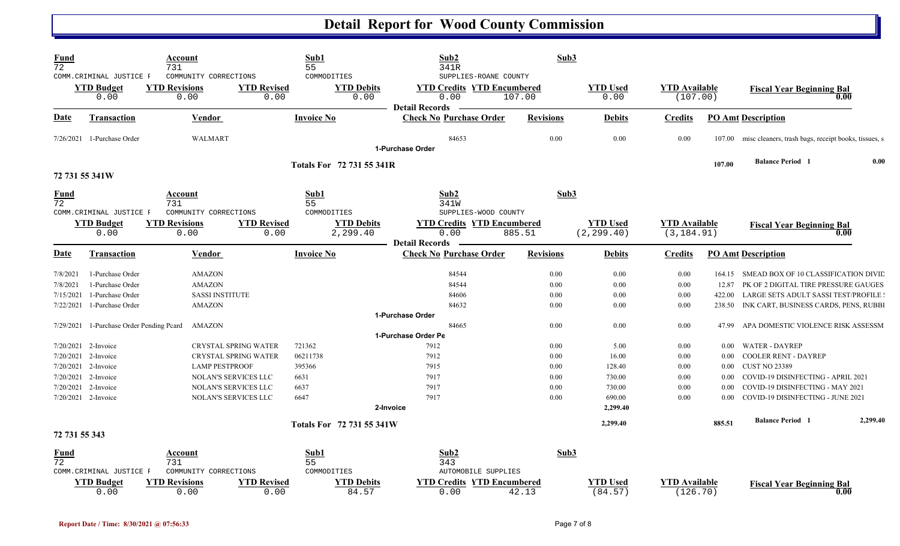| <b>Fund</b><br>$\overline{72}$ |                                                       | Account<br>731                                        |                             | Sub1<br>55                                   | Sub2<br>341R                                                                               | Sub3             |                                |                                     |                  |                                                            |          |
|--------------------------------|-------------------------------------------------------|-------------------------------------------------------|-----------------------------|----------------------------------------------|--------------------------------------------------------------------------------------------|------------------|--------------------------------|-------------------------------------|------------------|------------------------------------------------------------|----------|
|                                | COMM.CRIMINAL JUSTICE F<br><b>YTD Budget</b><br>0.00  | COMMUNITY CORRECTIONS<br><b>YTD Revisions</b><br>0.00 | <b>YTD Revised</b><br>0.00  | COMMODITIES<br><b>YTD Debits</b><br>0.00     | SUPPLIES-ROANE COUNTY<br><b>YTD Credits YTD Encumbered</b><br>0.00                         | 107.00           | <b>YTD Used</b><br>0.00        | <b>YTD Available</b><br>(107.00)    |                  | <b>Fiscal Year Beginning Bal</b><br>0.00                   |          |
| <u>Date</u>                    | Transaction                                           | Vendor                                                |                             | <b>Invoice No</b>                            | <b>Detail Records</b><br><b>Check No Purchase Order</b>                                    | <b>Revisions</b> | <b>Debits</b>                  | <b>Credits</b>                      |                  | <b>PO Amt Description</b>                                  |          |
|                                | 7/26/2021 1-Purchase Order                            | WALMART                                               |                             |                                              | 84653<br>1-Purchase Order                                                                  | 0.00             | 0.00                           | 0.00                                | 107.00           | misc cleaners, trash bags, receipt books, tissues, s       |          |
|                                |                                                       |                                                       |                             |                                              |                                                                                            |                  |                                |                                     | 107.00           | <b>Balance Period 1</b>                                    | 0.00     |
|                                | 72 731 55 341W                                        |                                                       |                             | <b>Totals For 72 731 55 341R</b>             |                                                                                            |                  |                                |                                     |                  |                                                            |          |
| <u>Fund</u><br>$\overline{72}$ |                                                       | Account<br>731                                        |                             | Sub1<br>55                                   | Sub2<br>341W                                                                               | Sub3             |                                |                                     |                  |                                                            |          |
|                                | COMM. CRIMINAL JUSTICE F<br><b>YTD Budget</b><br>0.00 | COMMUNITY CORRECTIONS<br><b>YTD Revisions</b><br>0.00 | <b>YTD Revised</b><br>0.00  | COMMODITIES<br><b>YTD Debits</b><br>2,299.40 | SUPPLIES-WOOD COUNTY<br><b>YTD Credits YTD Encumbered</b><br>0.00<br><b>Detail Records</b> | 885.51           | <b>YTD Used</b><br>(2, 299.40) | <b>YTD</b> Available<br>(3, 184.91) |                  | <b>Fiscal Year Beginning Bal</b><br>0.00                   |          |
| <b>Date</b>                    | <b>Transaction</b>                                    | Vendor                                                |                             | <b>Invoice No</b>                            | <b>Check No Purchase Order</b>                                                             | <b>Revisions</b> | <b>Debits</b>                  | <b>Credits</b>                      |                  | <b>PO Amt Description</b>                                  |          |
| 7/8/2021                       | 1-Purchase Order                                      | <b>AMAZON</b>                                         |                             |                                              | 84544                                                                                      | 0.00             | 0.00                           | 0.00                                |                  | 164.15 SMEAD BOX OF 10 CLASSIFICATION DIVID                |          |
| 7/8/2021                       | 1-Purchase Order                                      | <b>AMAZON</b>                                         |                             |                                              | 84544                                                                                      | 0.00             | 0.00                           | 0.00                                | 12.87            | PK OF 2 DIGITAL TIRE PRESSURE GAUGES                       |          |
| 7/15/2021                      | 1-Purchase Order                                      | <b>SASSI INSTITUTE</b>                                |                             |                                              | 84606                                                                                      | 0.00             | 0.00                           | 0.00                                | 422.00           | LARGE SETS ADULT SASSI TEST/PROFILE                        |          |
| 7/22/2021                      | 1-Purchase Order                                      | <b>AMAZON</b>                                         |                             |                                              | 84632                                                                                      | 0.00             | 0.00                           | 0.00                                | 238.50           | INK CART, BUSINESS CARDS, PENS, RUBBI                      |          |
|                                |                                                       |                                                       |                             |                                              | 1-Purchase Order                                                                           |                  |                                |                                     |                  |                                                            |          |
| 7/29/2021                      | 1-Purchase Order Pending Pcard                        | AMAZON                                                |                             |                                              | 84665                                                                                      | 0.00             | 0.00                           | 0.00                                | 47.99            | APA DOMESTIC VIOLENCE RISK ASSESSM                         |          |
|                                |                                                       |                                                       |                             |                                              | 1-Purchase Order Pe                                                                        |                  |                                |                                     |                  |                                                            |          |
|                                | 7/20/2021 2-Invoice                                   |                                                       | <b>CRYSTAL SPRING WATER</b> | 721362                                       | 7912                                                                                       | 0.00             | 5.00                           | 0.00                                | $0.00\,$         | <b>WATER - DAYREP</b>                                      |          |
| 7/20/2021                      | 2-Invoice                                             |                                                       | <b>CRYSTAL SPRING WATER</b> | 06211738                                     | 7912                                                                                       | 0.00             | 16.00                          | 0.00                                | 0.00             | <b>COOLER RENT - DAYREP</b>                                |          |
| 7/20/2021<br>7/20/2021         | 2-Invoice<br>2-Invoice                                | <b>LAMP PESTPROOF</b>                                 | NOLAN'S SERVICES LLC        | 395366<br>6631                               | 7915<br>7917                                                                               | 0.00<br>0.00     | 128.40<br>730.00               | 0.00<br>0.00                        | 0.00<br>$0.00\,$ | <b>CUST NO 23389</b><br>COVID-19 DISINFECTING - APRIL 2021 |          |
| 7/20/2021                      | 2-Invoice                                             |                                                       | <b>NOLAN'S SERVICES LLC</b> | 6637                                         | 7917                                                                                       | 0.00             | 730.00                         | 0.00                                | $0.00\,$         | COVID-19 DISINFECTING - MAY 2021                           |          |
|                                | 7/20/2021 2-Invoice                                   |                                                       | NOLAN'S SERVICES LLC        | 6647                                         | 7917                                                                                       | 0.00             | 690.00                         | 0.00                                | 0.00             | COVID-19 DISINFECTING - JUNE 2021                          |          |
|                                |                                                       |                                                       |                             |                                              | 2-Invoice                                                                                  |                  | 2,299.40                       |                                     |                  |                                                            |          |
|                                |                                                       |                                                       |                             | Totals For 72 731 55 341W                    |                                                                                            |                  | 2,299.40                       |                                     | 885.51           | <b>Balance Period 1</b>                                    | 2,299.40 |
| 72 731 55 343                  |                                                       |                                                       |                             |                                              |                                                                                            |                  |                                |                                     |                  |                                                            |          |
| Fund<br>$\overline{72}$        |                                                       | Account<br>731                                        |                             | Sub1<br>55                                   | Sub2<br>343                                                                                | Sub3             |                                |                                     |                  |                                                            |          |
|                                | COMM. CRIMINAL JUSTICE F                              | COMMUNITY CORRECTIONS                                 |                             | COMMODITIES                                  | AUTOMOBILE SUPPLIES                                                                        |                  |                                |                                     |                  |                                                            |          |
|                                | <b>YTD Budget</b><br>0.00                             | <b>YTD Revisions</b><br>0.00                          | <b>YTD Revised</b><br>0.00  | <b>YTD Debits</b><br>84.57                   | <b>YTD Credits YTD Encumbered</b><br>0.00                                                  | 42.13            | <b>YTD Used</b><br>(84.57)     | <b>YTD Available</b><br>(126.70)    |                  | <b>Fiscal Year Beginning Bal</b><br>0.00                   |          |